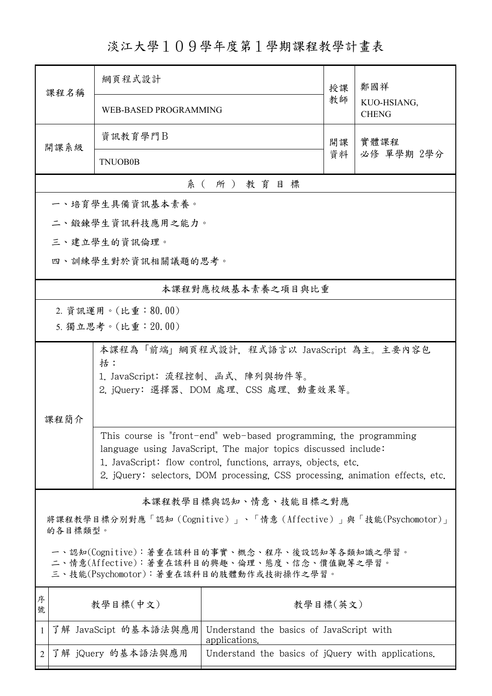## 淡江大學109學年度第1學期課程教學計畫表

|                                                                                                                                 | 課程名稱                                                                                                                                   | 網頁程式設計                                                                                                                                                                                                                                                                                |                       | 授課 | 鄭國祥<br>KUO-HSIANG,<br><b>CHENG</b> |  |  |  |  |
|---------------------------------------------------------------------------------------------------------------------------------|----------------------------------------------------------------------------------------------------------------------------------------|---------------------------------------------------------------------------------------------------------------------------------------------------------------------------------------------------------------------------------------------------------------------------------------|-----------------------|----|------------------------------------|--|--|--|--|
|                                                                                                                                 |                                                                                                                                        | WEB-BASED PROGRAMMING                                                                                                                                                                                                                                                                 |                       | 教師 |                                    |  |  |  |  |
|                                                                                                                                 | 開課系級                                                                                                                                   | 資訊教育學門B                                                                                                                                                                                                                                                                               |                       | 開課 | 實體課程                               |  |  |  |  |
|                                                                                                                                 |                                                                                                                                        | <b>TNUOB0B</b>                                                                                                                                                                                                                                                                        |                       |    | 必修 單學期 2學分                         |  |  |  |  |
|                                                                                                                                 | 系(所)教育目標                                                                                                                               |                                                                                                                                                                                                                                                                                       |                       |    |                                    |  |  |  |  |
|                                                                                                                                 | 一、培育學生具備資訊基本素養。                                                                                                                        |                                                                                                                                                                                                                                                                                       |                       |    |                                    |  |  |  |  |
|                                                                                                                                 | 二、鍛鍊學生資訊科技應用之能力。                                                                                                                       |                                                                                                                                                                                                                                                                                       |                       |    |                                    |  |  |  |  |
|                                                                                                                                 |                                                                                                                                        | 三、建立學生的資訊倫理。                                                                                                                                                                                                                                                                          |                       |    |                                    |  |  |  |  |
|                                                                                                                                 | 四、訓練學生對於資訊相關議題的思考。                                                                                                                     |                                                                                                                                                                                                                                                                                       |                       |    |                                    |  |  |  |  |
|                                                                                                                                 |                                                                                                                                        |                                                                                                                                                                                                                                                                                       | 本課程對應校級基本素養之項目與比重     |    |                                    |  |  |  |  |
|                                                                                                                                 | 2. 資訊運用。(比重:80.00)                                                                                                                     |                                                                                                                                                                                                                                                                                       |                       |    |                                    |  |  |  |  |
|                                                                                                                                 |                                                                                                                                        | 5. 獨立思考。(比重: 20.00)                                                                                                                                                                                                                                                                   |                       |    |                                    |  |  |  |  |
| 本課程為「前端」網頁程式設計,程式語言以 JavaScript 為主。主要內容包<br>括:<br>1. JavaScript: 流程控制、函式、陣列與物件等。<br>2. jQuery: 選擇器、DOM 處理、CSS 處理、動畫效果等。<br>課程簡介 |                                                                                                                                        |                                                                                                                                                                                                                                                                                       |                       |    |                                    |  |  |  |  |
|                                                                                                                                 |                                                                                                                                        | This course is "front-end" web-based programming, the programming<br>language using JavaScript. The major topics discussed include:<br>1. JavaScript: flow control, functions, arrays, objects, etc.<br>2. jQuery: selectors, DOM processing, CSS processing, animation effects, etc. |                       |    |                                    |  |  |  |  |
|                                                                                                                                 |                                                                                                                                        |                                                                                                                                                                                                                                                                                       | 本課程教學目標與認知、情意、技能目標之對應 |    |                                    |  |  |  |  |
| 將課程教學目標分別對應「認知 (Cognitive)」、「情意 (Affective)」與「技能(Psychomotor)」<br>的各目標類型。                                                       |                                                                                                                                        |                                                                                                                                                                                                                                                                                       |                       |    |                                    |  |  |  |  |
|                                                                                                                                 | 一、認知(Cognitive):著重在該科目的事實、概念、程序、後設認知等各類知識之學習。<br>二、情意(Affective):著重在該科目的興趣、倫理、態度、信念、價值觀等之學習。<br>三、技能(Psychomotor):著重在該科目的肢體動作或技術操作之學習。 |                                                                                                                                                                                                                                                                                       |                       |    |                                    |  |  |  |  |
| 序<br>號                                                                                                                          |                                                                                                                                        | 教學目標(中文)                                                                                                                                                                                                                                                                              | 教學目標(英文)              |    |                                    |  |  |  |  |
| $\mathbf{1}$                                                                                                                    | 了解 JavaScipt 的基本語法與應用<br>Understand the basics of JavaScript with<br>applications.                                                     |                                                                                                                                                                                                                                                                                       |                       |    |                                    |  |  |  |  |
| $\overline{2}$                                                                                                                  | 了解 jQuery 的基本語法與應用<br>Understand the basics of jQuery with applications.                                                               |                                                                                                                                                                                                                                                                                       |                       |    |                                    |  |  |  |  |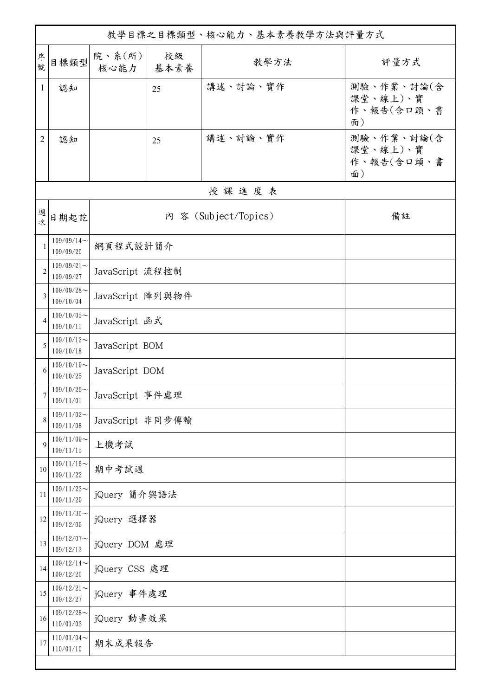|                | 教學目標之目標類型、核心能力、基本素養教學方法與評量方式        |                      |               |          |                                            |  |  |  |  |  |
|----------------|-------------------------------------|----------------------|---------------|----------|--------------------------------------------|--|--|--|--|--|
| 序號             | 目標類型                                | 院、系(所)<br>核心能力       | 校級<br>基本素養    | 教學方法     | 評量方式                                       |  |  |  |  |  |
| $\mathbf{1}$   | 認知                                  |                      | 25            | 講述、討論、實作 | 測驗、作業、討論(含<br>課堂、線上)、實<br>作、報告(含口頭、書<br>面) |  |  |  |  |  |
| $\overline{2}$ | 認知                                  |                      | 25            | 講述、討論、實作 | 測驗、作業、討論(含<br>課堂、線上)、實<br>作、報告(含口頭、書<br>面) |  |  |  |  |  |
|                | 授課進度表                               |                      |               |          |                                            |  |  |  |  |  |
| 週次             | 日期起訖                                | 內 容 (Subject/Topics) |               |          | 備註                                         |  |  |  |  |  |
| $\overline{1}$ | $109/09/14$ ~<br>109/09/20          | 網頁程式設計簡介             |               |          |                                            |  |  |  |  |  |
| $\overline{2}$ | $109/09/21$ ~<br>109/09/27          | JavaScript 流程控制      |               |          |                                            |  |  |  |  |  |
| 3              | $109/09/28$ ~<br>109/10/04          | JavaScript 陣列與物件     |               |          |                                            |  |  |  |  |  |
| $\overline{4}$ | $109/10/05$ ~<br>109/10/11          | JavaScript 函式        |               |          |                                            |  |  |  |  |  |
| 5              | $109/10/12$ ~<br>109/10/18          | JavaScript BOM       |               |          |                                            |  |  |  |  |  |
| 6              | $109/10/19$ ~<br>109/10/25          | JavaScript DOM       |               |          |                                            |  |  |  |  |  |
|                | $109/10/26\!\thicksim$<br>109/11/01 | JavaScript 事件處理      |               |          |                                            |  |  |  |  |  |
| 8              | $109/11/02$ ~<br>109/11/08          | JavaScript 非同步傳輸     |               |          |                                            |  |  |  |  |  |
| 9              | $109/11/09$ ~<br>109/11/15          | 上機考試                 |               |          |                                            |  |  |  |  |  |
| 10             | $109/11/16$ ~<br>109/11/22          | 期中考試週                |               |          |                                            |  |  |  |  |  |
| 11             | $109/11/23$ ~<br>109/11/29          | jQuery 簡介與語法         |               |          |                                            |  |  |  |  |  |
| 12             | $109/11/30$ ~<br>109/12/06          | jQuery 選擇器           |               |          |                                            |  |  |  |  |  |
| 13             | $109/12/07$ ~<br>109/12/13          | jQuery DOM 處理        |               |          |                                            |  |  |  |  |  |
| 14             | $109/12/14$ ~<br>109/12/20          |                      | jQuery CSS 處理 |          |                                            |  |  |  |  |  |
| 15             | $109/12/21$ ~<br>109/12/27          | jQuery 事件處理          |               |          |                                            |  |  |  |  |  |
| 16             | $109/12/28$ ~<br>110/01/03          | jQuery 動畫效果          |               |          |                                            |  |  |  |  |  |
| 17             | $110/01/04$ ~<br>110/01/10          | 期末成果報告               |               |          |                                            |  |  |  |  |  |